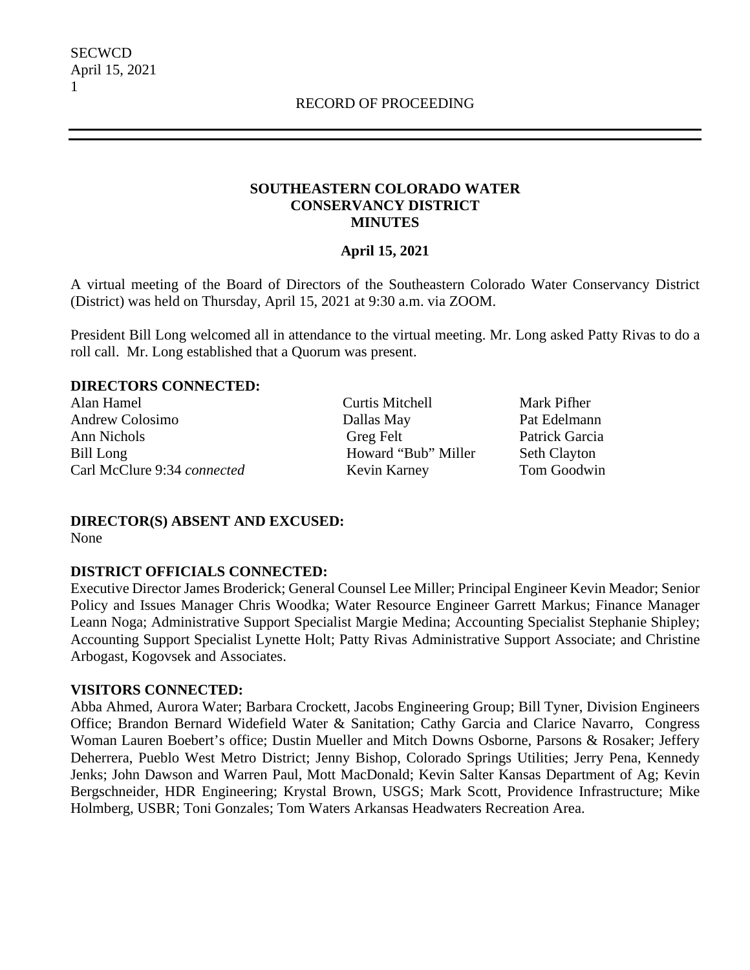### **SOUTHEASTERN COLORADO WATER CONSERVANCY DISTRICT MINUTES**

### **April 15, 2021**

A virtual meeting of the Board of Directors of the Southeastern Colorado Water Conservancy District (District) was held on Thursday, April 15, 2021 at 9:30 a.m. via ZOOM.

President Bill Long welcomed all in attendance to the virtual meeting. Mr. Long asked Patty Rivas to do a roll call. Mr. Long established that a Quorum was present.

#### **DIRECTORS CONNECTED:**

Alan Hamel Andrew Colosimo Ann Nichols Bill Long Carl McClure 9:34 *connected*  Curtis Mitchell Dallas May Greg Felt Howard "Bub" Miller Kevin Karney

Mark Pifher Pat Edelmann Patrick Garcia Seth Clayton Tom Goodwin

### **DIRECTOR(S) ABSENT AND EXCUSED:**

None

### **DISTRICT OFFICIALS CONNECTED:**

Executive Director James Broderick; General Counsel Lee Miller; Principal Engineer Kevin Meador; Senior Policy and Issues Manager Chris Woodka; Water Resource Engineer Garrett Markus; Finance Manager Leann Noga; Administrative Support Specialist Margie Medina; Accounting Specialist Stephanie Shipley; Accounting Support Specialist Lynette Holt; Patty Rivas Administrative Support Associate; and Christine Arbogast, Kogovsek and Associates.

#### **VISITORS CONNECTED:**

Abba Ahmed, Aurora Water; Barbara Crockett, Jacobs Engineering Group; Bill Tyner, Division Engineers Office; Brandon Bernard Widefield Water & Sanitation; Cathy Garcia and Clarice Navarro, Congress Woman Lauren Boebert's office; Dustin Mueller and Mitch Downs Osborne, Parsons & Rosaker; Jeffery Deherrera, Pueblo West Metro District; Jenny Bishop, Colorado Springs Utilities; Jerry Pena, Kennedy Jenks; John Dawson and Warren Paul, Mott MacDonald; Kevin Salter Kansas Department of Ag; Kevin Bergschneider, HDR Engineering; Krystal Brown, USGS; Mark Scott, Providence Infrastructure; Mike Holmberg, USBR; Toni Gonzales; Tom Waters Arkansas Headwaters Recreation Area.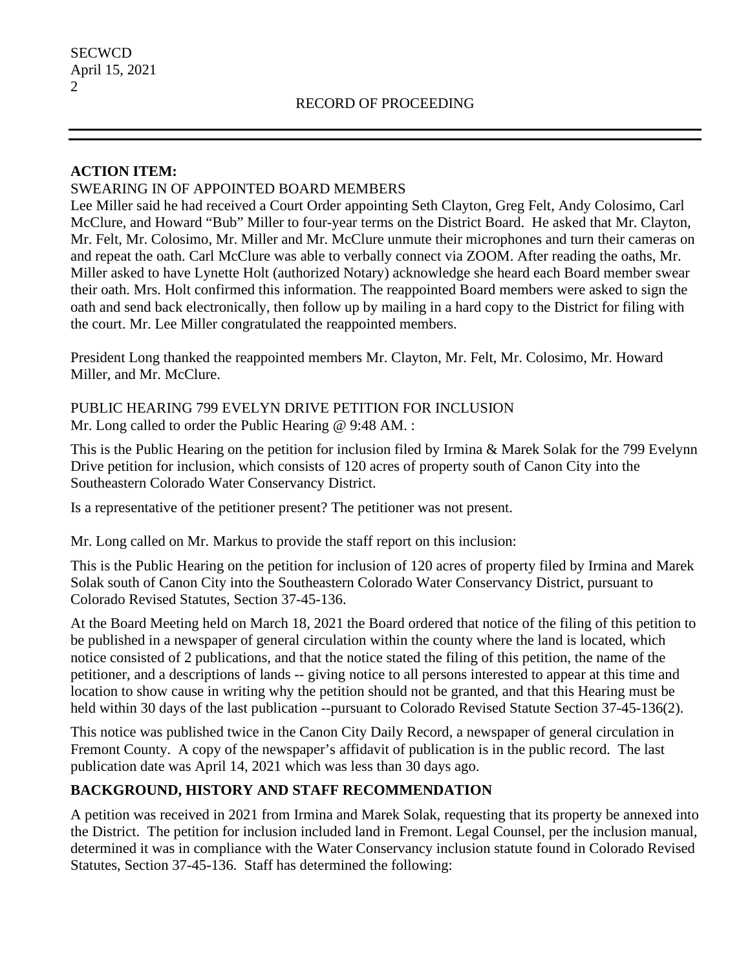## **ACTION ITEM:**

## SWEARING IN OF APPOINTED BOARD MEMBERS

Lee Miller said he had received a Court Order appointing Seth Clayton, Greg Felt, Andy Colosimo, Carl McClure, and Howard "Bub" Miller to four-year terms on the District Board. He asked that Mr. Clayton, Mr. Felt, Mr. Colosimo, Mr. Miller and Mr. McClure unmute their microphones and turn their cameras on and repeat the oath. Carl McClure was able to verbally connect via ZOOM. After reading the oaths, Mr. Miller asked to have Lynette Holt (authorized Notary) acknowledge she heard each Board member swear their oath. Mrs. Holt confirmed this information. The reappointed Board members were asked to sign the oath and send back electronically, then follow up by mailing in a hard copy to the District for filing with the court. Mr. Lee Miller congratulated the reappointed members.

President Long thanked the reappointed members Mr. Clayton, Mr. Felt, Mr. Colosimo, Mr. Howard Miller, and Mr. McClure.

PUBLIC HEARING 799 EVELYN DRIVE PETITION FOR INCLUSION Mr. Long called to order the Public Hearing @ 9:48 AM. :

This is the Public Hearing on the petition for inclusion filed by Irmina & Marek Solak for the 799 Evelynn Drive petition for inclusion, which consists of 120 acres of property south of Canon City into the Southeastern Colorado Water Conservancy District.

Is a representative of the petitioner present? The petitioner was not present.

Mr. Long called on Mr. Markus to provide the staff report on this inclusion:

This is the Public Hearing on the petition for inclusion of 120 acres of property filed by Irmina and Marek Solak south of Canon City into the Southeastern Colorado Water Conservancy District, pursuant to Colorado Revised Statutes, Section 37-45-136.

At the Board Meeting held on March 18, 2021 the Board ordered that notice of the filing of this petition to be published in a newspaper of general circulation within the county where the land is located, which notice consisted of 2 publications, and that the notice stated the filing of this petition, the name of the petitioner, and a descriptions of lands -- giving notice to all persons interested to appear at this time and location to show cause in writing why the petition should not be granted, and that this Hearing must be held within 30 days of the last publication --pursuant to Colorado Revised Statute Section 37-45-136(2).

This notice was published twice in the Canon City Daily Record, a newspaper of general circulation in Fremont County. A copy of the newspaper's affidavit of publication is in the public record. The last publication date was April 14, 2021 which was less than 30 days ago.

# **BACKGROUND, HISTORY AND STAFF RECOMMENDATION**

A petition was received in 2021 from Irmina and Marek Solak, requesting that its property be annexed into the District. The petition for inclusion included land in Fremont. Legal Counsel, per the inclusion manual, determined it was in compliance with the Water Conservancy inclusion statute found in Colorado Revised Statutes, Section 37-45-136. Staff has determined the following: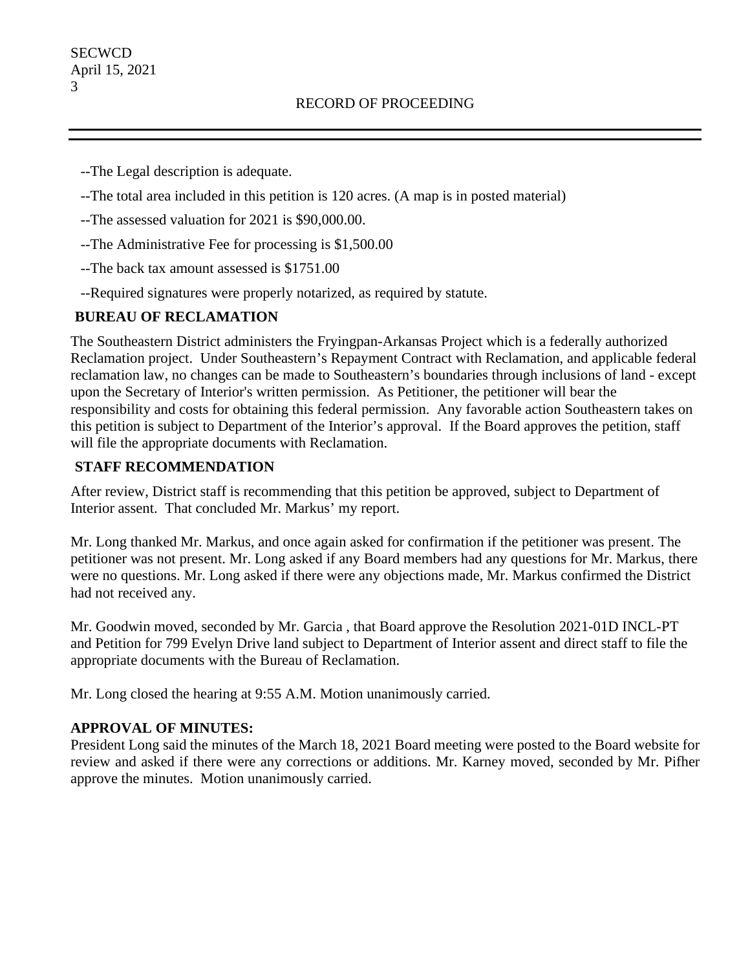--The Legal description is adequate.

- --The total area included in this petition is 120 acres. (A map is in posted material)
- --The assessed valuation for 2021 is \$90,000.00.
- --The Administrative Fee for processing is \$1,500.00
- --The back tax amount assessed is \$1751.00
- --Required signatures were properly notarized, as required by statute.

## **BUREAU OF RECLAMATION**

The Southeastern District administers the Fryingpan-Arkansas Project which is a federally authorized Reclamation project. Under Southeastern's Repayment Contract with Reclamation, and applicable federal reclamation law, no changes can be made to Southeastern's boundaries through inclusions of land - except upon the Secretary of Interior's written permission. As Petitioner, the petitioner will bear the responsibility and costs for obtaining this federal permission. Any favorable action Southeastern takes on this petition is subject to Department of the Interior's approval. If the Board approves the petition, staff will file the appropriate documents with Reclamation.

## **STAFF RECOMMENDATION**

After review, District staff is recommending that this petition be approved, subject to Department of Interior assent. That concluded Mr. Markus' my report.

Mr. Long thanked Mr. Markus, and once again asked for confirmation if the petitioner was present. The petitioner was not present. Mr. Long asked if any Board members had any questions for Mr. Markus, there were no questions. Mr. Long asked if there were any objections made, Mr. Markus confirmed the District had not received any.

Mr. Goodwin moved, seconded by Mr. Garcia , that Board approve the Resolution 2021-01D INCL-PT and Petition for 799 Evelyn Drive land subject to Department of Interior assent and direct staff to file the appropriate documents with the Bureau of Reclamation.

Mr. Long closed the hearing at 9:55 A.M. Motion unanimously carried.

## **APPROVAL OF MINUTES:**

President Long said the minutes of the March 18, 2021 Board meeting were posted to the Board website for review and asked if there were any corrections or additions. Mr. Karney moved, seconded by Mr. Pifher approve the minutes. Motion unanimously carried.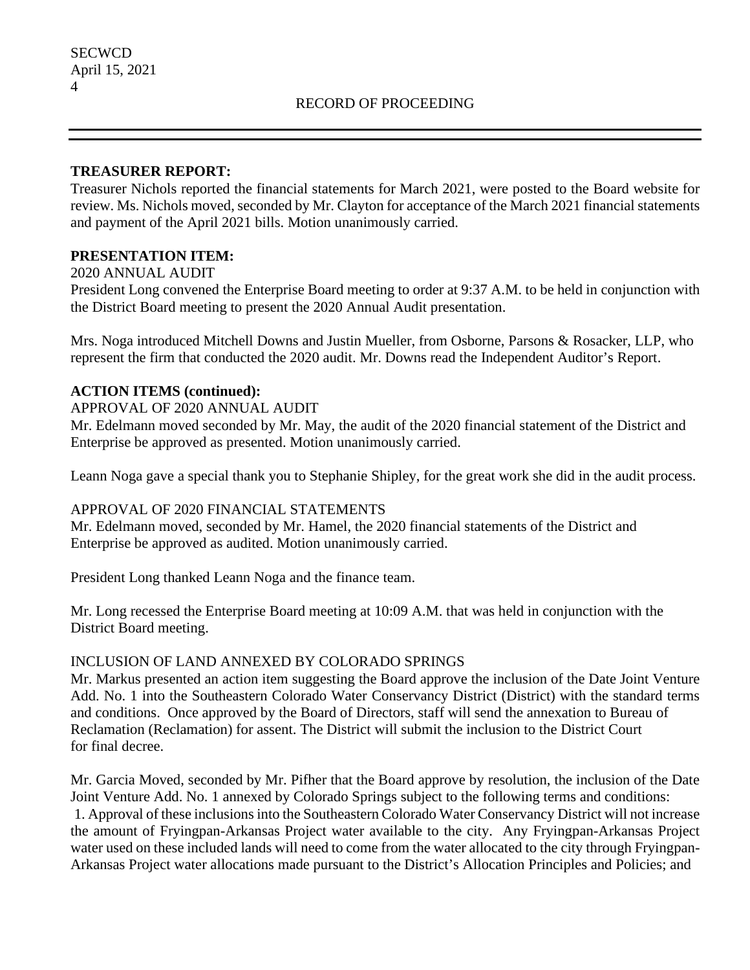### **TREASURER REPORT:**

Treasurer Nichols reported the financial statements for March 2021, were posted to the Board website for review. Ms. Nichols moved, seconded by Mr. Clayton for acceptance of the March 2021 financial statements and payment of the April 2021 bills. Motion unanimously carried.

## **PRESENTATION ITEM:**

#### 2020 ANNUAL AUDIT

President Long convened the Enterprise Board meeting to order at 9:37 A.M. to be held in conjunction with the District Board meeting to present the 2020 Annual Audit presentation.

Mrs. Noga introduced Mitchell Downs and Justin Mueller, from Osborne, Parsons & Rosacker, LLP, who represent the firm that conducted the 2020 audit. Mr. Downs read the Independent Auditor's Report.

## **ACTION ITEMS (continued):**

### APPROVAL OF 2020 ANNUAL AUDIT

Mr. Edelmann moved seconded by Mr. May, the audit of the 2020 financial statement of the District and Enterprise be approved as presented. Motion unanimously carried.

Leann Noga gave a special thank you to Stephanie Shipley, for the great work she did in the audit process.

### APPROVAL OF 2020 FINANCIAL STATEMENTS

Mr. Edelmann moved, seconded by Mr. Hamel, the 2020 financial statements of the District and Enterprise be approved as audited. Motion unanimously carried.

President Long thanked Leann Noga and the finance team.

Mr. Long recessed the Enterprise Board meeting at 10:09 A.M. that was held in conjunction with the District Board meeting.

### INCLUSION OF LAND ANNEXED BY COLORADO SPRINGS

Mr. Markus presented an action item suggesting the Board approve the inclusion of the Date Joint Venture Add. No. 1 into the Southeastern Colorado Water Conservancy District (District) with the standard terms and conditions. Once approved by the Board of Directors, staff will send the annexation to Bureau of Reclamation (Reclamation) for assent. The District will submit the inclusion to the District Court for final decree.

Mr. Garcia Moved, seconded by Mr. Pifher that the Board approve by resolution, the inclusion of the Date Joint Venture Add. No. 1 annexed by Colorado Springs subject to the following terms and conditions: 1. Approval of these inclusions into the Southeastern Colorado Water Conservancy District will not increase the amount of Fryingpan-Arkansas Project water available to the city. Any Fryingpan-Arkansas Project water used on these included lands will need to come from the water allocated to the city through Fryingpan-Arkansas Project water allocations made pursuant to the District's Allocation Principles and Policies; and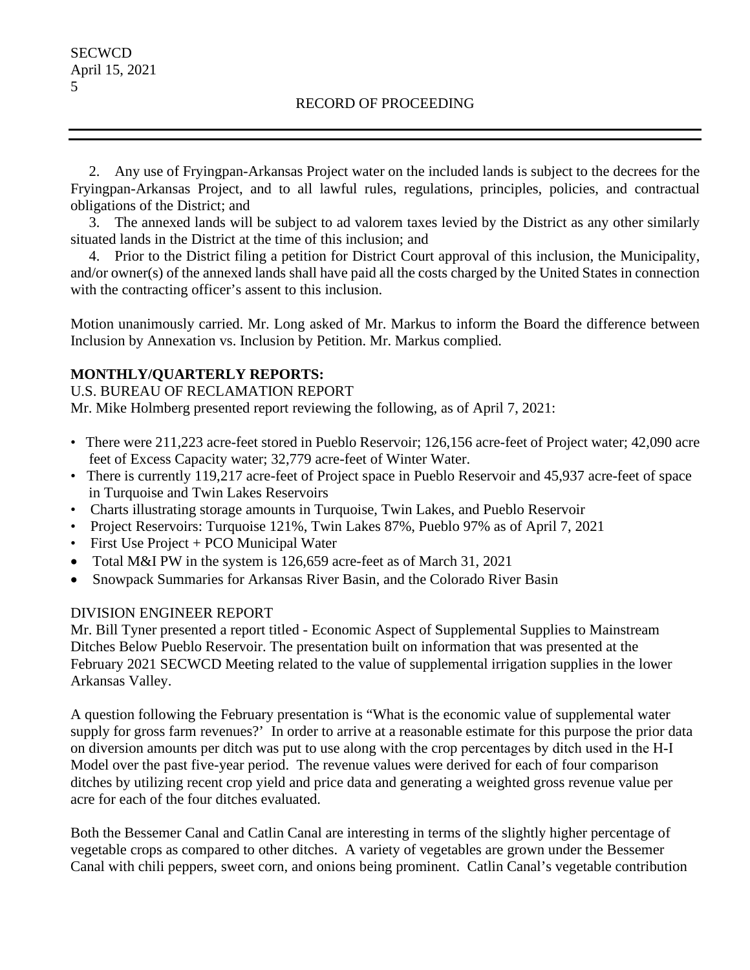2. Any use of Fryingpan-Arkansas Project water on the included lands is subject to the decrees for the Fryingpan-Arkansas Project, and to all lawful rules, regulations, principles, policies, and contractual obligations of the District; and

 3. The annexed lands will be subject to ad valorem taxes levied by the District as any other similarly situated lands in the District at the time of this inclusion; and

 4. Prior to the District filing a petition for District Court approval of this inclusion, the Municipality, and/or owner(s) of the annexed lands shall have paid all the costs charged by the United States in connection with the contracting officer's assent to this inclusion.

Motion unanimously carried. Mr. Long asked of Mr. Markus to inform the Board the difference between Inclusion by Annexation vs. Inclusion by Petition. Mr. Markus complied.

## **MONTHLY/QUARTERLY REPORTS:**

U.S. BUREAU OF RECLAMATION REPORT

Mr. Mike Holmberg presented report reviewing the following, as of April 7, 2021:

- There were 211,223 acre-feet stored in Pueblo Reservoir; 126,156 acre-feet of Project water; 42,090 acre feet of Excess Capacity water; 32,779 acre-feet of Winter Water.
- There is currently 119,217 acre-feet of Project space in Pueblo Reservoir and 45,937 acre-feet of space in Turquoise and Twin Lakes Reservoirs
- Charts illustrating storage amounts in Turquoise, Twin Lakes, and Pueblo Reservoir
- Project Reservoirs: Turquoise 121%, Twin Lakes 87%, Pueblo 97% as of April 7, 2021
- First Use Project + PCO Municipal Water
- Total M&I PW in the system is 126,659 acre-feet as of March 31, 2021
- Snowpack Summaries for Arkansas River Basin, and the Colorado River Basin

### DIVISION ENGINEER REPORT

Mr. Bill Tyner presented a report titled - Economic Aspect of Supplemental Supplies to Mainstream Ditches Below Pueblo Reservoir. The presentation built on information that was presented at the February 2021 SECWCD Meeting related to the value of supplemental irrigation supplies in the lower Arkansas Valley.

A question following the February presentation is "What is the economic value of supplemental water supply for gross farm revenues?' In order to arrive at a reasonable estimate for this purpose the prior data on diversion amounts per ditch was put to use along with the crop percentages by ditch used in the H‐I Model over the past five-year period. The revenue values were derived for each of four comparison ditches by utilizing recent crop yield and price data and generating a weighted gross revenue value per acre for each of the four ditches evaluated.

Both the Bessemer Canal and Catlin Canal are interesting in terms of the slightly higher percentage of vegetable crops as compared to other ditches. A variety of vegetables are grown under the Bessemer Canal with chili peppers, sweet corn, and onions being prominent. Catlin Canal's vegetable contribution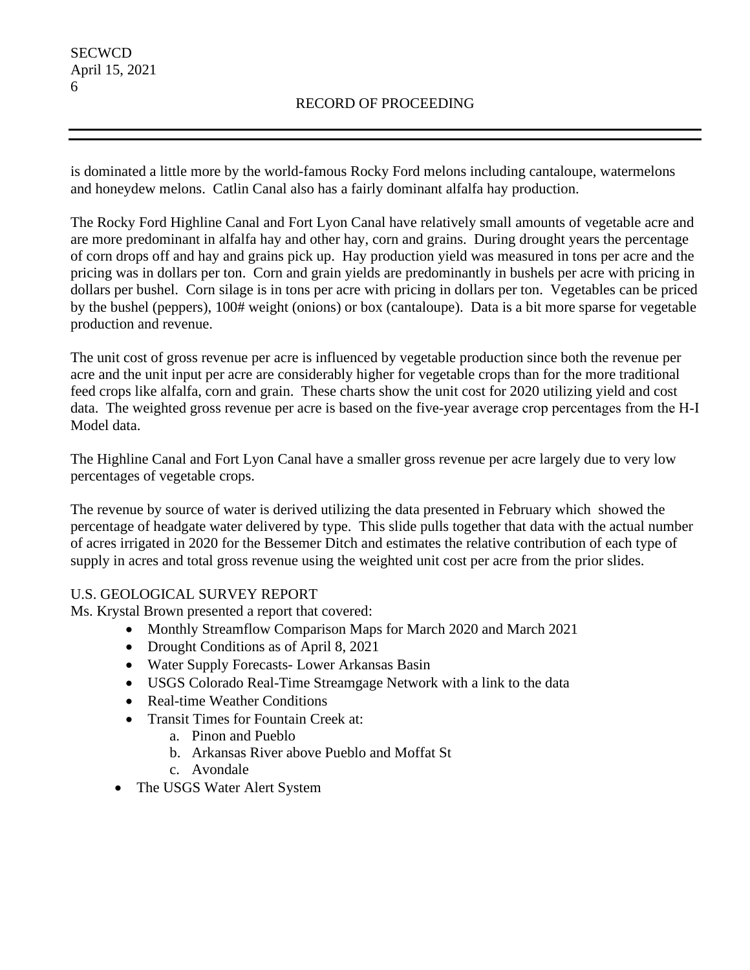is dominated a little more by the world-famous Rocky Ford melons including cantaloupe, watermelons and honeydew melons. Catlin Canal also has a fairly dominant alfalfa hay production.

The Rocky Ford Highline Canal and Fort Lyon Canal have relatively small amounts of vegetable acre and are more predominant in alfalfa hay and other hay, corn and grains. During drought years the percentage of corn drops off and hay and grains pick up. Hay production yield was measured in tons per acre and the pricing was in dollars per ton. Corn and grain yields are predominantly in bushels per acre with pricing in dollars per bushel. Corn silage is in tons per acre with pricing in dollars per ton. Vegetables can be priced by the bushel (peppers), 100# weight (onions) or box (cantaloupe). Data is a bit more sparse for vegetable production and revenue.

The unit cost of gross revenue per acre is influenced by vegetable production since both the revenue per acre and the unit input per acre are considerably higher for vegetable crops than for the more traditional feed crops like alfalfa, corn and grain. These charts show the unit cost for 2020 utilizing yield and cost data. The weighted gross revenue per acre is based on the five-year average crop percentages from the H‐I Model data.

The Highline Canal and Fort Lyon Canal have a smaller gross revenue per acre largely due to very low percentages of vegetable crops.

The revenue by source of water is derived utilizing the data presented in February which showed the percentage of headgate water delivered by type. This slide pulls together that data with the actual number of acres irrigated in 2020 for the Bessemer Ditch and estimates the relative contribution of each type of supply in acres and total gross revenue using the weighted unit cost per acre from the prior slides.

## U.S. GEOLOGICAL SURVEY REPORT

Ms. Krystal Brown presented a report that covered:

- Monthly Streamflow Comparison Maps for March 2020 and March 2021
- Drought Conditions as of April 8, 2021
- Water Supply Forecasts- Lower Arkansas Basin
- USGS Colorado Real-Time Streamgage Network with a link to the data
- Real-time Weather Conditions
- Transit Times for Fountain Creek at:
	- a. Pinon and Pueblo
	- b. Arkansas River above Pueblo and Moffat St
	- c. Avondale
- The USGS Water Alert System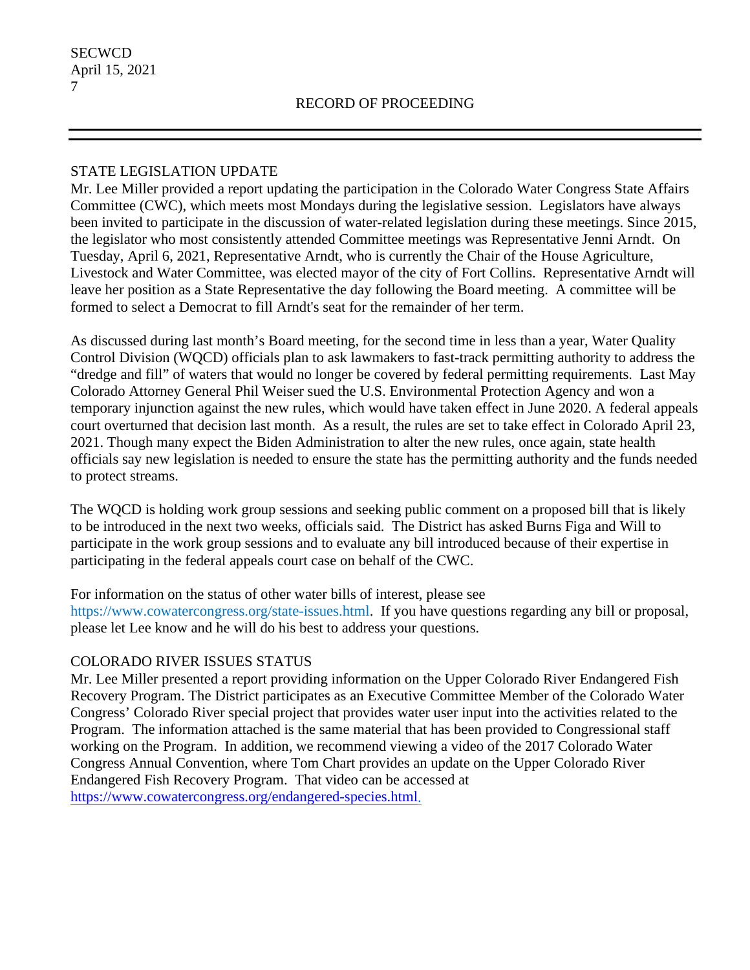## STATE LEGISLATION UPDATE

Mr. Lee Miller provided a report updating the participation in the Colorado Water Congress State Affairs Committee (CWC), which meets most Mondays during the legislative session. Legislators have always been invited to participate in the discussion of water-related legislation during these meetings. Since 2015, the legislator who most consistently attended Committee meetings was Representative Jenni Arndt. On Tuesday, April 6, 2021, Representative Arndt, who is currently the Chair of the House Agriculture, Livestock and Water Committee, was elected mayor of the city of Fort Collins. Representative Arndt will leave her position as a State Representative the day following the Board meeting. A committee will be formed to select a Democrat to fill Arndt's seat for the remainder of her term.

As discussed during last month's Board meeting, for the second time in less than a year, Water Quality Control Division (WQCD) officials plan to ask lawmakers to fast-track permitting authority to address the "dredge and fill" of waters that would no longer be covered by federal permitting requirements. Last May Colorado Attorney General Phil Weiser sued the U.S. Environmental Protection Agency and won a temporary injunction against the new rules, which would have taken effect in June 2020. A federal appeals court overturned that decision last month. As a result, the rules are set to take effect in Colorado April 23, 2021. Though many expect the Biden Administration to alter the new rules, once again, state health officials say new legislation is needed to ensure the state has the permitting authority and the funds needed to protect streams.

The WQCD is holding work group sessions and seeking public comment on a proposed bill that is likely to be introduced in the next two weeks, officials said. The District has asked Burns Figa and Will to participate in the work group sessions and to evaluate any bill introduced because of their expertise in participating in the federal appeals court case on behalf of the CWC.

For information on the status of other water bills of interest, please see https://www.cowatercongress.org/state-issues.html. If you have questions regarding any bill or proposal, please let Lee know and he will do his best to address your questions.

## COLORADO RIVER ISSUES STATUS

Mr. Lee Miller presented a report providing information on the Upper Colorado River Endangered Fish Recovery Program. The District participates as an Executive Committee Member of the Colorado Water Congress' Colorado River special project that provides water user input into the activities related to the Program. The information attached is the same material that has been provided to Congressional staff working on the Program. In addition, we recommend viewing a video of the 2017 Colorado Water Congress Annual Convention, where Tom Chart provides an update on the Upper Colorado River Endangered Fish Recovery Program. That video can be accessed at [https://www.cowatercongress.org/endangered-species.html.](https://www.cowatercongress.org/endangered-species.html)